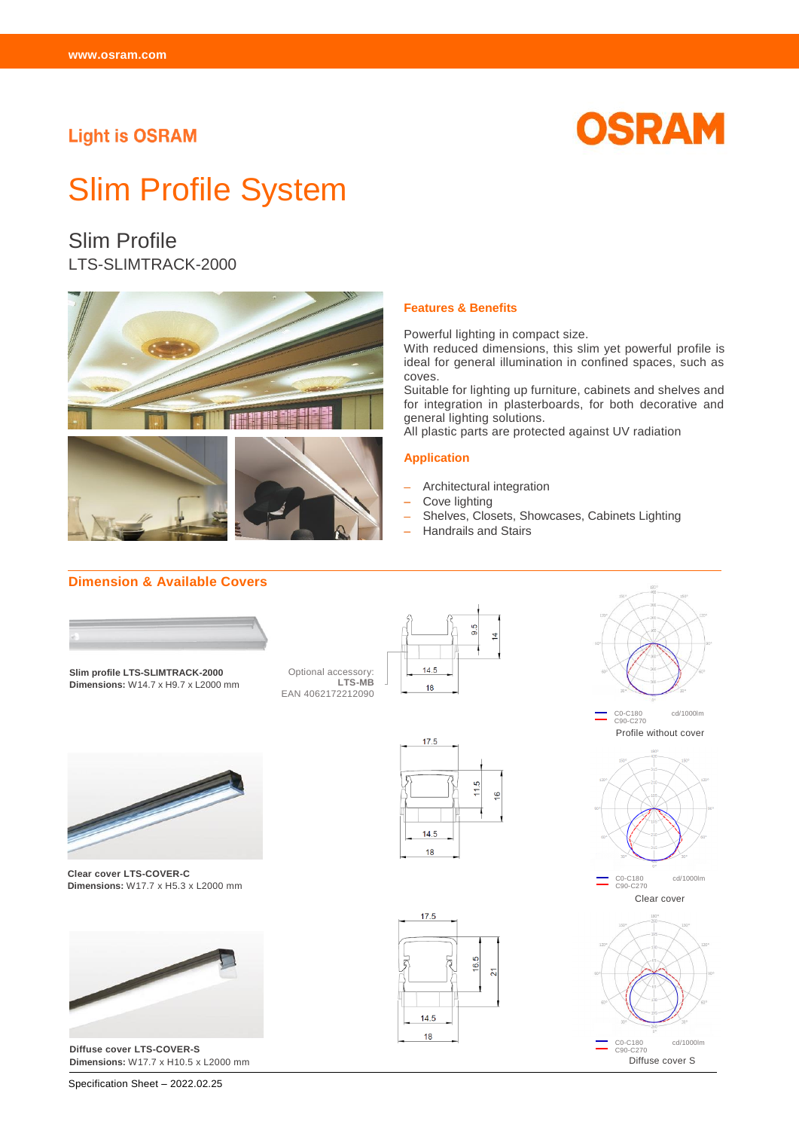# **Light is OSRAM**



# Slim Profile System

# Slim Profile LTS-SLIMTRACK-2000



#### **Features & Benefits**

Powerful lighting in compact size.

With reduced dimensions, this slim yet powerful profile is ideal for general illumination in confined spaces, such as coves.

Suitable for lighting up furniture, cabinets and shelves and for integration in plasterboards, for both decorative and general lighting solutions.

All plastic parts are protected against UV radiation

#### **Application**

- − Architectural integration
- − Cove lighting
- − Shelves, Closets, Showcases, Cabinets Lighting
- − Handrails and Stairs

# **Dimension & Available Covers**



**Slim profile LTS-SLIMTRACK-2000 Dimensions:** W14.7 x H9.7 x L2000 mm

Optional accessory: **LTS-MB** EAN 4062172212090



 $11.5$ 

16.5  $\overline{2}$ 

G

 $17.5$ 

 $14.5$  $18$ 

17.5

 $14.5$ 18



 $\equiv$ C0-C180 cd/1000lm C90-C270 Clear cover





**Clear cover LTS-COVER-C Dimensions:** W17.7 x H5.3 x L2000 mm



**Diffuse cover LTS-COVER-S Dimensions:** W17.7 x H10.5 x L2000 mm

Specification Sheet – 2022.02.25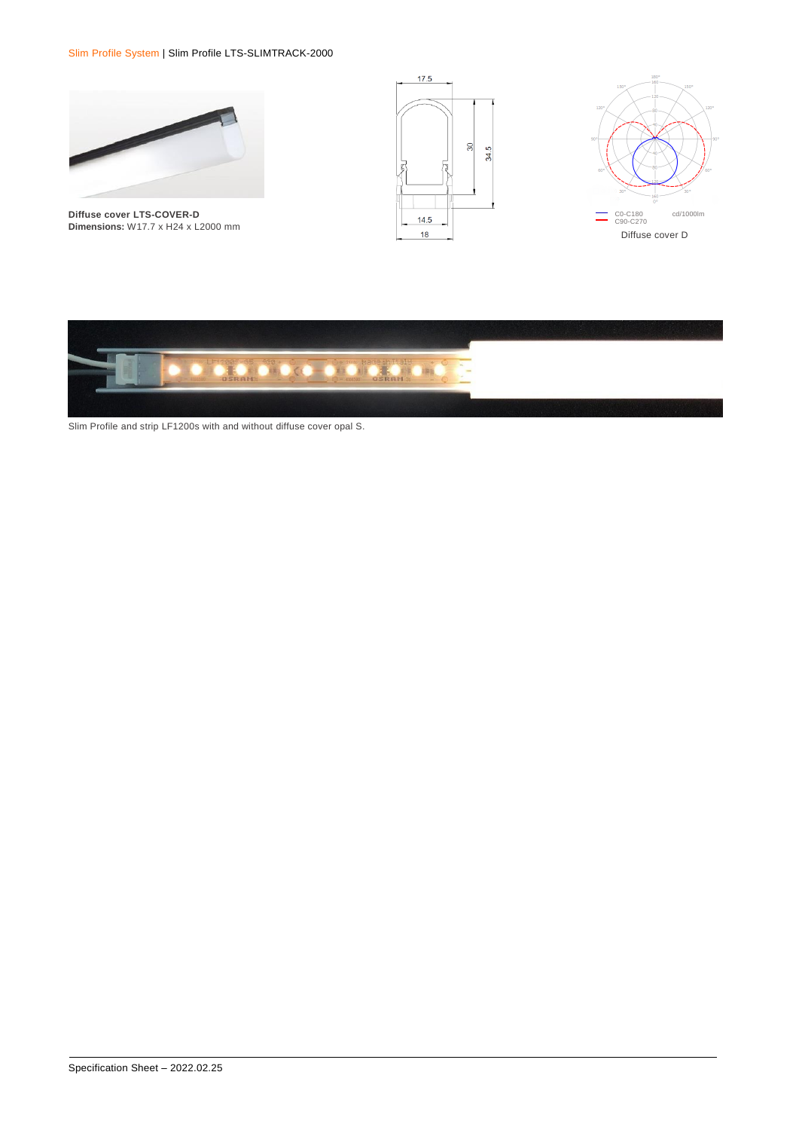Slim Profile System | Slim Profile LTS-SLIMTRACK-2000



**Diffuse cover LTS-COVER-D Dimensions:** W17.7 x H24 x L2000 mm







Slim Profile and strip LF1200s with and without diffuse cover opal S.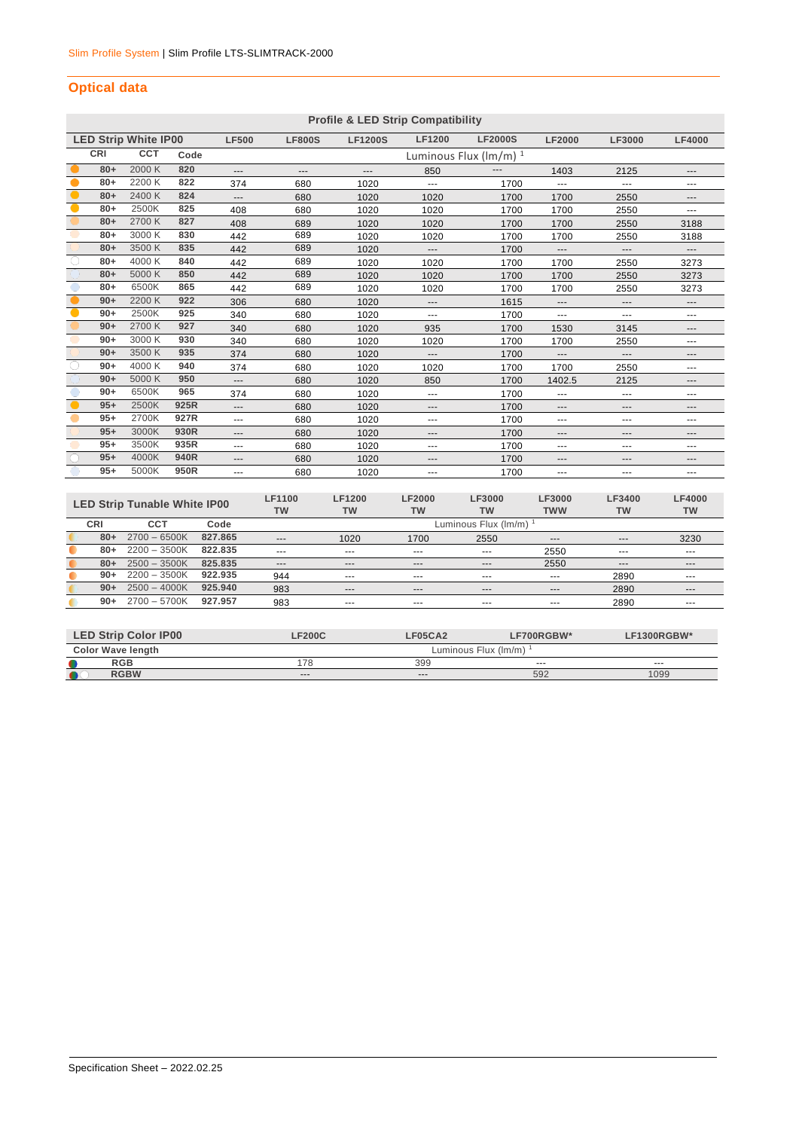# **Optical data**

|           | <b>Profile &amp; LED Strip Compatibility</b> |                             |      |                     |               |                |                   |                                           |               |                   |                     |
|-----------|----------------------------------------------|-----------------------------|------|---------------------|---------------|----------------|-------------------|-------------------------------------------|---------------|-------------------|---------------------|
|           |                                              | <b>LED Strip White IP00</b> |      | <b>LF500</b>        | <b>LF800S</b> | <b>LF1200S</b> | <b>LF1200</b>     | <b>LF2000S</b>                            | <b>LF2000</b> | <b>LF3000</b>     | <b>LF4000</b>       |
| CRI       |                                              | <b>CCT</b>                  | Code |                     |               |                |                   | Luminous Flux $(\text{Im}/\text{m})^{-1}$ |               |                   |                     |
|           | $80+$                                        | 2000 K                      | 820  | $---$               | ---           | ---            | 850               | ---                                       | 1403          | 2125              | ---                 |
|           | $80+$                                        | 2200 K                      | 822  | 374                 | 680           | 1020           | ---               | 1700                                      | ---           | $---$             | ---                 |
| $\bullet$ | $80+$                                        | 2400 K                      | 824  | $\qquad \qquad - -$ | 680           | 1020           | 1020              | 1700                                      | 1700          | 2550              | $\qquad \qquad - -$ |
| $\bullet$ | $80+$                                        | 2500K                       | 825  | 408                 | 680           | 1020           | 1020              | 1700                                      | 1700          | 2550              | ---                 |
|           | $80+$                                        | 2700 K                      | 827  | 408                 | 689           | 1020           | 1020              | 1700                                      | 1700          | 2550              | 3188                |
|           | $80+$                                        | 3000 K                      | 830  | 442                 | 689           | 1020           | 1020              | 1700                                      | 1700          | 2550              | 3188                |
|           | $80+$                                        | 3500 K                      | 835  | 442                 | 689           | 1020           | $---$             | 1700                                      | ---           | $\cdots$          | $\qquad \qquad - -$ |
|           | $80+$                                        | 4000 K                      | 840  | 442                 | 689           | 1020           | 1020              | 1700                                      | 1700          | 2550              | 3273                |
|           | $80+$                                        | 5000 K                      | 850  | 442                 | 689           | 1020           | 1020              | 1700                                      | 1700          | 2550              | 3273                |
|           | $80+$                                        | 6500K                       | 865  | 442                 | 689           | 1020           | 1020              | 1700                                      | 1700          | 2550              | 3273                |
|           | $90+$                                        | 2200 K                      | 922  | 306                 | 680           | 1020           | $\qquad \qquad -$ | 1615                                      | ---           | $\qquad \qquad -$ | $\qquad \qquad - -$ |
| $\bullet$ | $90+$                                        | 2500K                       | 925  | 340                 | 680           | 1020           | $\cdots$          | 1700                                      | ---           | ---               | $\cdots$            |
|           | $90+$                                        | 2700 K                      | 927  | 340                 | 680           | 1020           | 935               | 1700                                      | 1530          | 3145              | $---$               |
|           | $90+$                                        | 3000 K                      | 930  | 340                 | 680           | 1020           | 1020              | 1700                                      | 1700          | 2550              | ---                 |
|           | $90+$                                        | 3500 K                      | 935  | 374                 | 680           | 1020           | $---$             | 1700                                      | ---           | ---               | $\qquad \qquad - -$ |
| $\bigcap$ | $90+$                                        | 4000 K                      | 940  | 374                 | 680           | 1020           | 1020              | 1700                                      | 1700          | 2550              | ---                 |
|           | $90+$                                        | 5000 K                      | 950  | $\qquad \qquad - -$ | 680           | 1020           | 850               | 1700                                      | 1402.5        | 2125              | ---                 |
|           | $90+$                                        | 6500K                       | 965  | 374                 | 680           | 1020           | $---$             | 1700                                      | ---           | $---$             | $\cdots$            |
| $\bullet$ | $95+$                                        | 2500K                       | 925R | $---$               | 680           | 1020           | $---$             | 1700                                      | ---           | $---$             | $---$               |
|           | $95+$                                        | 2700K                       | 927R | $- - -$             | 680           | 1020           | $---$             | 1700                                      | ---           | $---$             | ---                 |
|           | $95+$                                        | 3000K                       | 930R | $---$               | 680           | 1020           | $---$             | 1700                                      | ---           | $---$             | ---                 |
|           | $95+$                                        | 3500K                       | 935R | $\cdots$            | 680           | 1020           | $\cdots$          | 1700                                      | ---           | $\cdots$          | $\cdots$            |
|           | $95+$                                        | 4000K                       | 940R | $---$               | 680           | 1020           | $---$             | 1700                                      | ---           | $---$             | ---                 |
|           | $95+$                                        | 5000K                       | 950R | $\cdots$            | 680           | 1020           | $\cdots$          | 1700                                      | ---           | $\cdots$          | $\cdots$            |
|           |                                              |                             |      |                     |               |                |                   |                                           |               |                   |                     |

|       | <b>LED Strip Tunable White IP00</b> |         | LF1100<br>TW | LF1200<br><b>TW</b> | <b>LF2000</b><br><b>TW</b> | <b>LF3000</b><br><b>TW</b> | <b>LF3000</b><br><b>TWW</b> | LF3400<br><b>TW</b> | <b>LF4000</b><br>TW |
|-------|-------------------------------------|---------|--------------|---------------------|----------------------------|----------------------------|-----------------------------|---------------------|---------------------|
| CRI   | CCT                                 | Code    |              |                     |                            | Luminous Flux (Im/m)       |                             |                     |                     |
| $80+$ | $2700 - 6500K$                      | 827.865 | $---$        | 1020                | 1700                       | 2550                       | $- - -$                     | $- - -$             | 3230                |
| $80+$ | $2200 - 3500K$                      | 822.835 | $--$         | ---                 | $- - -$                    | $-- -$                     | 2550                        | $--$                | $-- -$              |
| $80+$ | $2500 - 3500K$                      | 825.835 | $--$         | $-- -$              | $\cdots$                   | $-- -$                     | 2550                        | $---$               | $---$               |
| $90+$ | $2200 - 3500K$                      | 922.935 | 944          | $- - -$             | $- - -$                    | $- - -$                    | $---$                       | 2890                | $- - -$             |
| $90+$ | $2500 - 4000K$                      | 925.940 | 983          | $- - -$             | $---$                      | $---$                      | $---$                       | 2890                | $---$               |
| $90+$ | $2700 - 5700K$                      | 927.957 | 983          | $- - -$             | $- - -$                    | $- - -$                    | $- - -$                     | 2890                | $- - -$             |

| <b>LED Strip Color IP00</b> | LF200C | <b>LF05CA2</b>       | LF700RGBW* | LF1300RGBW* |  |  |  |
|-----------------------------|--------|----------------------|------------|-------------|--|--|--|
| <b>Color Wave length</b>    |        | Luminous Flux (lm/m) |            |             |  |  |  |
| <b>RGB</b>                  | 78     | 399                  | $- - -$    | $- - -$     |  |  |  |
| <b>RGBW</b>                 | $---$  | $--$                 | 592        | 1099        |  |  |  |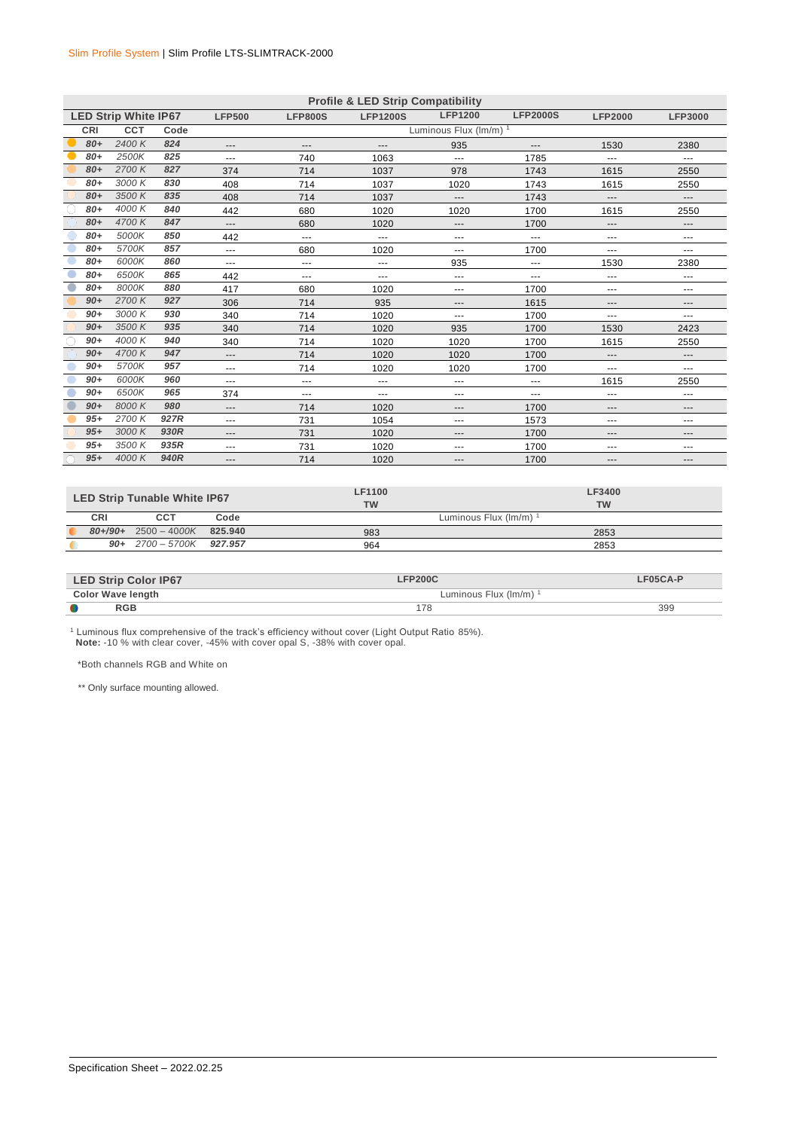|       | <b>Profile &amp; LED Strip Compatibility</b> |      |                   |                |                 |                        |                 |                     |                        |  |
|-------|----------------------------------------------|------|-------------------|----------------|-----------------|------------------------|-----------------|---------------------|------------------------|--|
|       | <b>LED Strip White IP67</b>                  |      | <b>LFP500</b>     | <b>LFP800S</b> | <b>LFP1200S</b> | <b>LFP1200</b>         | <b>LFP2000S</b> | <b>LFP2000</b>      | <b>LFP3000</b>         |  |
| CRI   | <b>CCT</b>                                   | Code |                   |                |                 | Luminous Flux (lm/m) 1 |                 |                     |                        |  |
| $80+$ | 2400K                                        | 824  | ---               | $---$          |                 | 935                    | ---             | 1530                | 2380                   |  |
| $80+$ | 2500K                                        | 825  | $\cdots$          | 740            | 1063            | ---                    | 1785            | ---                 | ---                    |  |
| $80+$ | 2700K                                        | 827  | 374               | 714            | 1037            | 978                    | 1743            | 1615                | 2550                   |  |
| $80+$ | 3000 K                                       | 830  | 408               | 714            | 1037            | 1020                   | 1743            | 1615                | 2550                   |  |
| $80+$ | 3500K                                        | 835  | 408               | 714            | 1037            | ---                    | 1743            | ---                 | ---                    |  |
| $80+$ | 4000 K                                       | 840  | 442               | 680            | 1020            | 1020                   | 1700            | 1615                | 2550                   |  |
| $80+$ | 4700 K                                       | 847  | $\cdots$          | 680            | 1020            | ---                    | 1700            | $\qquad \qquad - -$ | ---                    |  |
| $80+$ | 5000K                                        | 850  | 442               | ---            | ---             | ---                    | ---             | $\cdots$            | ---                    |  |
| 80+   | 5700K                                        | 857  | $\cdots$          | 680            | 1020            | $---$                  | 1700            | ---                 | ---                    |  |
| $80+$ | 6000K                                        | 860  | $\cdots$          | $\cdots$       | $\cdots$        | 935                    | ---             | 1530                | 2380                   |  |
| 80+   | 6500K                                        | 865  | 442               | $\cdots$       | ---             | $---$                  | ---             | $\cdots$            | ---                    |  |
| $80+$ | 8000K                                        | 880  | 417               | 680            | 1020            | ---                    | 1700            | $\cdots$            | ---                    |  |
| $90+$ | 2700K                                        | 927  | 306               | 714            | 935             | ---                    | 1615            | ---                 | ---                    |  |
| $90+$ | 3000 K                                       | 930  | 340               | 714            | 1020            | $---$                  | 1700            | ---                 | ---                    |  |
| $90+$ | 3500K                                        | 935  | 340               | 714            | 1020            | 935                    | 1700            | 1530                | 2423                   |  |
| $90+$ | 4000 K                                       | 940  | 340               | 714            | 1020            | 1020                   | 1700            | 1615                | 2550                   |  |
| $90+$ | 4700 K                                       | 947  | $\cdots$          | 714            | 1020            | 1020                   | 1700            | $\qquad \qquad - -$ | $\qquad \qquad \cdots$ |  |
| $90+$ | 5700K                                        | 957  | $\cdots$          | 714            | 1020            | 1020                   | 1700            | ---                 | ---                    |  |
| $90+$ | 6000K                                        | 960  | $\cdots$          | $\cdots$       | $\cdots$        | $---$                  | ---             | 1615                | 2550                   |  |
| $90+$ | 6500K                                        | 965  | 374               | $\cdots$       | $\cdots$        | $---$                  | ---             | $\cdots$            | ---                    |  |
| $90+$ | 8000K                                        | 980  | $\cdots$          | 714            | 1020            | ---                    | 1700            | $\qquad \qquad -$   | ---                    |  |
| $95+$ | 2700K                                        | 927R | $\cdots$          | 731            | 1054            | ---                    | 1573            | ---                 | ---                    |  |
| $95+$ | 3000K                                        | 930R | $\qquad \qquad -$ | 731            | 1020            | $---$                  | 1700            | $\qquad \qquad - -$ | ---                    |  |
| $95+$ | 3500 K                                       | 935R | $\cdots$          | 731            | 1020            | ---                    | 1700            | ---                 | ---                    |  |
| $95+$ | 4000 K                                       | 940R | $---$             | 714            | 1020            | $---$                  | 1700            | $\qquad \qquad - -$ | ---                    |  |
|       |                                              |      |                   |                |                 |                        |                 |                     |                        |  |

|             | <b>LED Strip Tunable White IP67</b> |         | LF1100<br><b>TW</b>  | LF3400<br>TW |
|-------------|-------------------------------------|---------|----------------------|--------------|
| CRI         | CCT                                 | Code    | Luminous Flux (Im/m) |              |
| $80 + 90 +$ | $2500 - 4000K$                      | 825,940 | 983                  | 2853         |
|             | $90 + 2700 - 5700K$ 927.957         |         | 964                  | 2853         |

| <b>LED Strip Color IP67</b> | <b>LFP200C</b>       | $_F05CA-P$ |
|-----------------------------|----------------------|------------|
| <b>Color Wave length</b>    | Luminous Flux (lm/m) |            |
| RGB                         |                      | 399        |

<sup>1</sup> Luminous flux comprehensive of the track's efficiency without cover (Light Output Ratio 85%).  **Note:** -10 % with clear cover, -45% with cover opal S, -38% with cover opal.

\*Both channels RGB and White on

\*\* Only surface mounting allowed.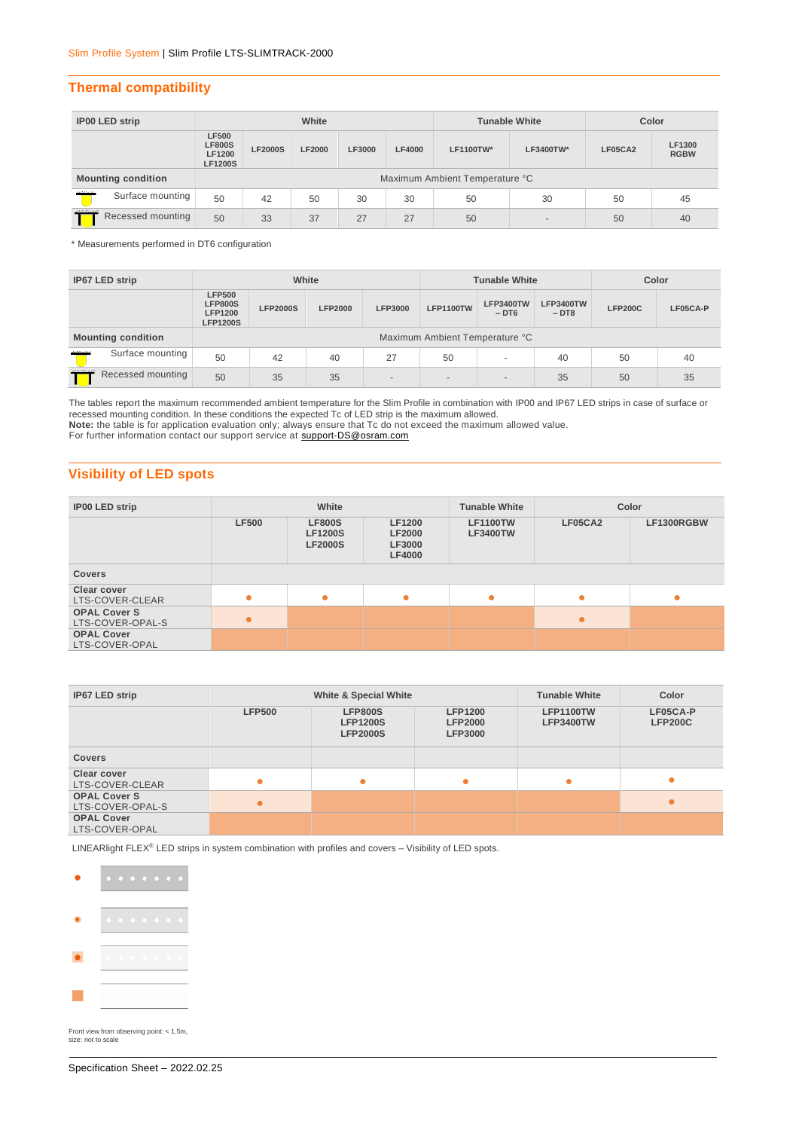## **Thermal compatibility**

| <b>IP00 LED strip</b>                  | White                                                            |                |               |        |               | <b>Tunable White</b> | Color                    |         |                       |
|----------------------------------------|------------------------------------------------------------------|----------------|---------------|--------|---------------|----------------------|--------------------------|---------|-----------------------|
|                                        | <b>LF500</b><br><b>LF800S</b><br><b>LF1200</b><br><b>LF1200S</b> | <b>LF2000S</b> | <b>LF2000</b> | LF3000 | <b>LF4000</b> | LF1100TW*            | LF3400TW*                | LF05CA2 | LF1300<br><b>RGBW</b> |
| <b>Mounting condition</b>              | Maximum Ambient Temperature °C                                   |                |               |        |               |                      |                          |         |                       |
| <b>Alternative</b><br>Surface mounting | 50                                                               | 42             | 50            | 30     | 30            | 50                   | 30                       | 50      | 45                    |
| ---------<br>Recessed mounting         | 50                                                               | 33             | 37            | 27     | 27            | 50                   | $\overline{\phantom{a}}$ | 50      | 40                    |

\* Measurements performed in DT6 configuration

| IP67 LED strip                         |                                                                      |                 | White          |                          | <b>Tunable White</b>           |                            |                     | Color          |          |
|----------------------------------------|----------------------------------------------------------------------|-----------------|----------------|--------------------------|--------------------------------|----------------------------|---------------------|----------------|----------|
|                                        | <b>LFP500</b><br><b>LFP800S</b><br><b>LFP1200</b><br><b>LFP1200S</b> | <b>LFP2000S</b> | <b>LFP2000</b> | <b>LFP3000</b>           | <b>LFP1100TW</b>               | <b>LFP3400TW</b><br>$-DT6$ | LFP3400TW<br>$-DT8$ | <b>LFP200C</b> | LF05CA-P |
| <b>Mounting condition</b>              |                                                                      |                 |                |                          | Maximum Ambient Temperature °C |                            |                     |                |          |
| Surface mounting<br><b>Alternative</b> | 50                                                                   | 42              | 40             | 27                       | 50                             | $\overline{\phantom{a}}$   | 40                  | 50             | 40       |
| Recessed mounting                      | 50                                                                   | 35              | 35             | $\overline{\phantom{a}}$ | $\overline{\phantom{a}}$       | $\overline{a}$             | 35                  | 50             | 35       |

The tables report the maximum recommended ambient temperature for the Slim Profile in combination with IP00 and IP67 LED strips in case of surface or recessed mounting condition. In these conditions the expected Tc of LED strip is the maximum allowed.

**Note:** the table is for application evaluation only; always ensure that Tc do not exceed the maximum allowed value.

For further information contact our support service at support-DS@osram.com

## **Visibility of LED spots**

| <b>IP00 LED strip</b>                   | White        |                                                   |                                                                  | <b>Tunable White</b>               | Color     |            |  |
|-----------------------------------------|--------------|---------------------------------------------------|------------------------------------------------------------------|------------------------------------|-----------|------------|--|
|                                         | <b>LF500</b> | <b>LF800S</b><br><b>LF1200S</b><br><b>LF2000S</b> | <b>LF1200</b><br><b>LF2000</b><br><b>LF3000</b><br><b>LF4000</b> | <b>LF1100TW</b><br><b>LF3400TW</b> | LF05CA2   | LF1300RGBW |  |
| <b>Covers</b>                           |              |                                                   |                                                                  |                                    |           |            |  |
| Clear cover<br>LTS-COVER-CLEAR          | ۰            |                                                   | ۰                                                                |                                    | ۰         | $\bullet$  |  |
| <b>OPAL Cover S</b><br>LTS-COVER-OPAL-S | $\bullet$    |                                                   |                                                                  |                                    | $\bullet$ |            |  |
| <b>OPAL Cover</b><br>LTS-COVER-OPAL     |              |                                                   |                                                                  |                                    |           |            |  |

| IP67 LED strip                          |               | <b>White &amp; Special White</b>                     |                                                    | <b>Tunable White</b>                 | Color                      |
|-----------------------------------------|---------------|------------------------------------------------------|----------------------------------------------------|--------------------------------------|----------------------------|
|                                         | <b>LFP500</b> | <b>LFP800S</b><br><b>LFP1200S</b><br><b>LFP2000S</b> | <b>LFP1200</b><br><b>LFP2000</b><br><b>LFP3000</b> | <b>LFP1100TW</b><br><b>LFP3400TW</b> | LF05CA-P<br><b>LFP200C</b> |
| <b>Covers</b>                           |               |                                                      |                                                    |                                      |                            |
| <b>Clear cover</b><br>LTS-COVER-CLEAR   |               | ٠                                                    | $\bullet$                                          |                                      |                            |
| <b>OPAL Cover S</b><br>LTS-COVER-OPAL-S |               |                                                      |                                                    |                                      |                            |
| <b>OPAL Cover</b><br>LTS-COVER-OPAL     |               |                                                      |                                                    |                                      |                            |

LINEARlight FLEX<sup>®</sup> LED strips in system combination with profiles and covers – Visibility of LED spots.



Front view from observing point: < 1.5m, size: not to scale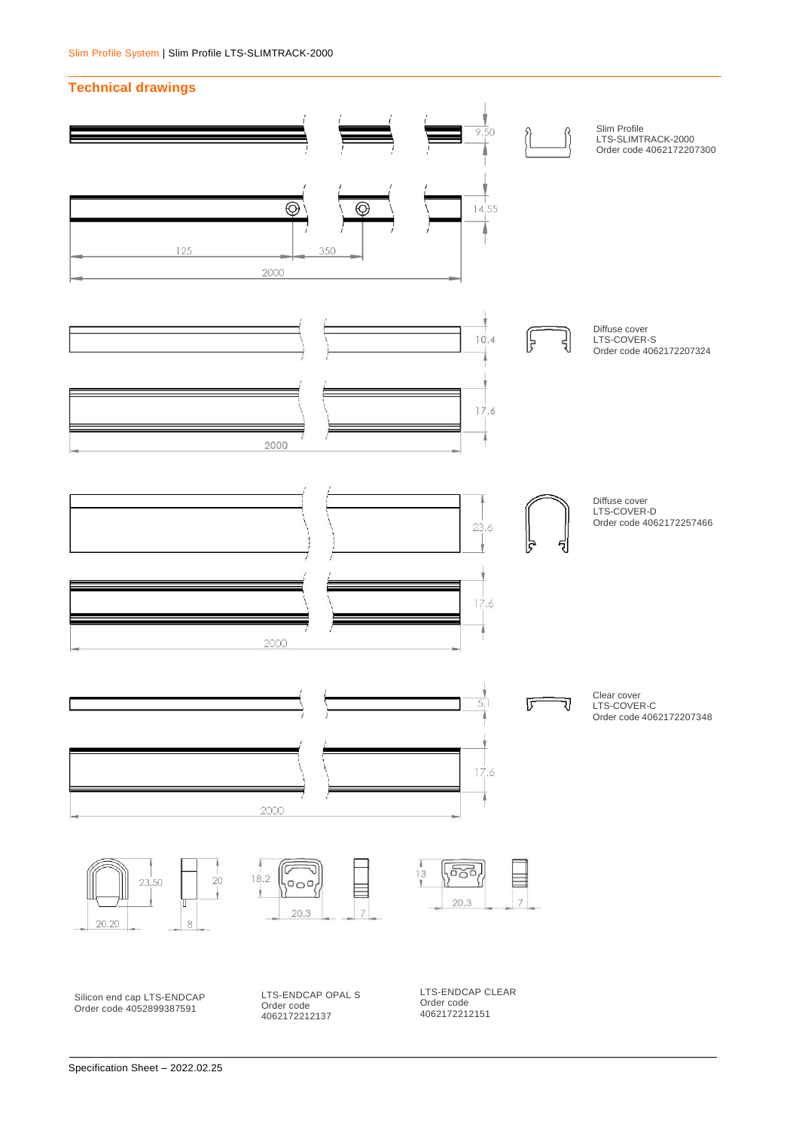#### **Technical drawings**

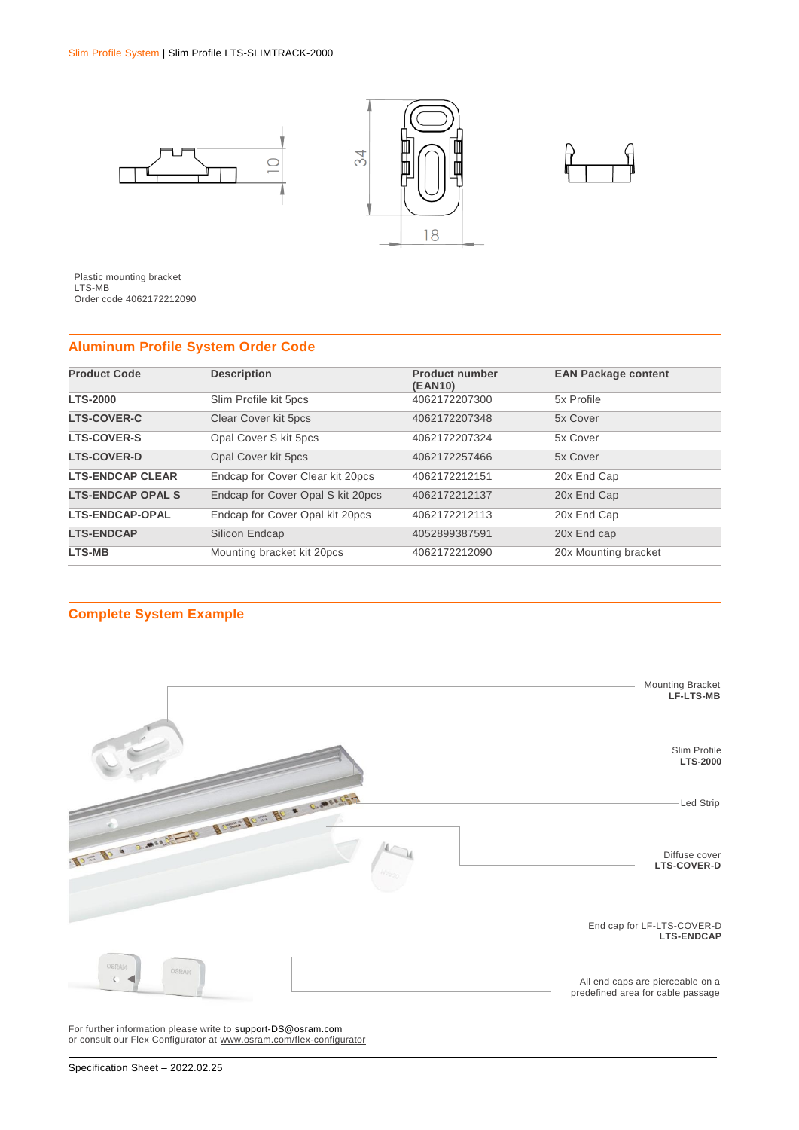



Plastic mounting bracket LTS-MB Order code 4062172212090

## **Aluminum Profile System Order Code**

| <b>Product Code</b>      | <b>Description</b>                | <b>Product number</b><br>(EAN10) | <b>EAN Package content</b> |
|--------------------------|-----------------------------------|----------------------------------|----------------------------|
| <b>LTS-2000</b>          | Slim Profile kit 5pcs             | 4062172207300                    | 5x Profile                 |
| <b>LTS-COVER-C</b>       | Clear Cover kit 5pcs              | 4062172207348                    | 5x Cover                   |
| <b>LTS-COVER-S</b>       | Opal Cover S kit 5pcs             | 4062172207324                    | 5x Cover                   |
| <b>LTS-COVER-D</b>       | Opal Cover kit 5pcs               | 4062172257466                    | 5x Cover                   |
| <b>LTS-ENDCAP CLEAR</b>  | Endcap for Cover Clear kit 20pcs  | 4062172212151                    | 20x End Cap                |
| <b>LTS-ENDCAP OPAL S</b> | Endcap for Cover Opal S kit 20pcs | 4062172212137                    | 20x End Cap                |
| <b>LTS-ENDCAP-OPAL</b>   | Endcap for Cover Opal kit 20pcs   | 4062172212113                    | 20x End Cap                |
| <b>LTS-ENDCAP</b>        | Silicon Endcap                    | 4052899387591                    | 20x End cap                |
| <b>LTS-MB</b>            | Mounting bracket kit 20pcs        | 4062172212090                    | 20x Mounting bracket       |

## **Complete System Example**



For further information please write to [support-DS@osram.com](mailto:support-DS@osram.com) or consult our Flex Configurator at [www.osram.com/flex-configurator](http://www.osram.com/flex-configurator)